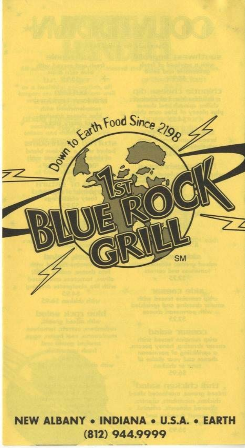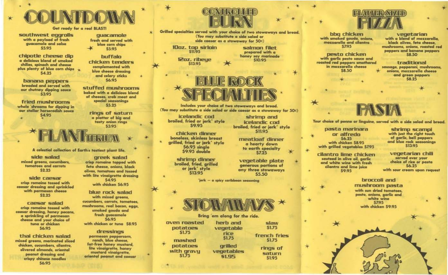

## Get ready for a real BLAST!

southwest eggrolls with a payload of fresh guacamole and salsa \$5.95

chipotle cheese dip a delicious blend of smoked chilies, spinach and cheese plus plenty of blue corn chips  $\star$ \$4.25

banana peppers breaded and served with our chutney dipping sauce **S395** 

fried mushrooms whole shrooms for dipping in our stellar horseradish sauce \$4.95

quacamole fresh and served with blue corn chips \$5.95

buffalo chicken tenders complemented with blue cheese dressing and celery sticks **S6.95** 

stuffed mushrooms baked with a delicious blend of cheeses, crab meat and special seasonings \$5.25

> rings of saturn a platter of big and tasty onion rings \$3.95

## A colostial collection of Earth's tastiest plant life.

side salad mixed greens, cucumbers, tomatoes and carrots \$2.25

side caesar crisp romaine tossed with caesar dressing and sprinkled with parmesan cheese  $$2.25$ 

caesar salad crisp romaine tossed with caesar dressing, honey pecans. a sprinkling of parmesan cheese and your choice of tuna or chicken **S6.95** 

thai chicken salad mixed greens, marinated sliced chicken, cucumbers, cilantro, slivered almonds, oriental peanut dressing and crispy chinese noodles **S6.95** 

greek salad crisp romaine topped with feta cheese, onions, black olives, tomatoes and tossed with lite vinaigrette dressing \$4.95 with chicken \$6.95

blue rock salad with mixed greens. cucumbers, carrots, tomatoes, mushrooms, real bacon, eggs, smoked gouda and fresh guacamole \$6.95 with chicken or tuna \$8.95

dressings parmesan peppercorn, ranch, blue cheese. fat-free honey mustard, lite vinaigrette, honey mustard vinaigrette. oriental peanut and caesar



Grilled specialties served with your choice of two stowaways and bread. (You may substitute a side salad or side caesar as a stowaway for 50c)

10oz. top sirloin 511.95

> 12oz. ribeue \$13.95



salmon filet

prepared with a

honey soy marinade

shrimp and

icelandic cod

broiled, fried or jerk' style

**S11.95** 

meatloaf dinner

a hearty down

to earth specialty

\$7.25

vegetable plate

generous portions of

any three stowaways

\$5.50

Includes your choice of two stowaways and bread. (You may substitute a side salad or side caesar as a stowaway for 50c)

icelandic cod broiled, fried or jerk' style **S9.95** 

chicken dinner boneless, skinless breast grilled, fried or jerk' style **S6.95 single** \$9.95 double

> shrimp dinner broiled, fried, grilled or jerk' style \$13.95

> > jerk - a spicy caribbean seasoning



Bring em along for the ride. oven roasted herb and slaw \$1.75 potatoes vegetable **S1.75** rice french fries \$1.75 \$1.75 mashed potatoes grilled rings of with gravy vegetables saturn **S1.75** \$1.95 \$1.95



bbg chicken with smoked gouda, onions. mozzarella and cilantro 57.95

pesto chicken with garlic pesto sauce and roasted red peppers smothered in mozzarella cheese **S8.50** 

vegetarian with a blend of mozzarella. black olives, feta cheese, mushrooms, onions, roasted red peppers and banana peppers **S8.50** 

traditional sausage, pepperoni, mushrooms, onions, mozzarella cheese and green peppers<br>\$8.25

Your choice of penne or linguine, served with a side salad and bread.

pasta marinara or alfredo **S6.25** with chicken \$8.95 with grilled vegetables \$7.95

cilantro lime chicken sauteed in olive oil, garlic and white wine with fresh cilantro and lime juice \$9.95

shrimp scampi with just the right touch of garlic, bell peppers and blue rock seasonings \$13.95

vegetarian chili served over your choice of rice or pasta 56.25 with sour cream upon request

broccoli and mushroom pasta with sun dried tomatoes, pesto, onions, garlic and white wine \$7.95 with chicken \$9.95